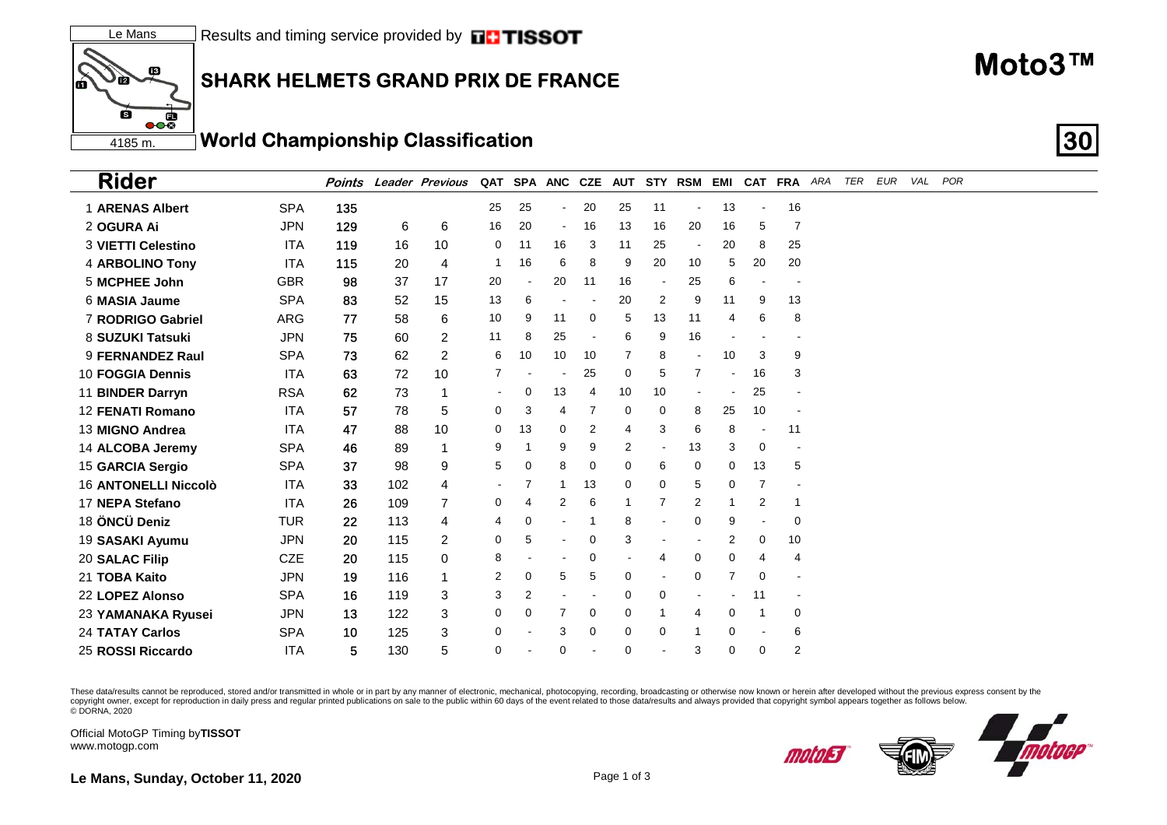## **SHARK HELMETS GRAND PRIX DE FRANCE**

 $\overline{\bullet}$ **World Championship Classification** 4185 m

| <b>Rider</b>                |            | Points |     | <b>Leader Previous</b> |    | QAT SPA ANC CZE |                |    | <b>AUT</b>     |                         | STY RSM        | EMI            |                | CAT FRA ARA              | TER | EUR | VAL | POR |  |  |
|-----------------------------|------------|--------|-----|------------------------|----|-----------------|----------------|----|----------------|-------------------------|----------------|----------------|----------------|--------------------------|-----|-----|-----|-----|--|--|
| <b>1 ARENAS Albert</b>      | <b>SPA</b> | 135    |     |                        | 25 | 25              | $\blacksquare$ | 20 | 25             | 11                      |                | 13             |                | 16                       |     |     |     |     |  |  |
| 2 OGURA Ai                  | <b>JPN</b> | 129    | 6   | 6                      | 16 | 20              | $\blacksquare$ | 16 | 13             | 16                      | 20             | 16             | 5              | $\overline{7}$           |     |     |     |     |  |  |
| <b>3 VIETTI Celestino</b>   | <b>ITA</b> | 119    | 16  | 10                     | 0  | 11              | 16             | 3  | 11             | 25                      |                | 20             | 8              | 25                       |     |     |     |     |  |  |
| 4 ARBOLINO Tony             | <b>ITA</b> | 115    | 20  | $\overline{4}$         |    | 16              | 6              | 8  | 9              | 20                      | 10             | 5              | 20             | 20                       |     |     |     |     |  |  |
| 5 MCPHEE John               | <b>GBR</b> | 98     | 37  | 17                     | 20 |                 | 20             | 11 | 16             | $\blacksquare$          | 25             | 6              |                |                          |     |     |     |     |  |  |
| 6 MASIA Jaume               | <b>SPA</b> | 83     | 52  | 15                     | 13 | 6               |                |    | 20             | $\overline{\mathbf{c}}$ | 9              | 11             | 9              | 13                       |     |     |     |     |  |  |
| 7 RODRIGO Gabriel           | ARG        | 77     | 58  | 6                      | 10 | 9               | 11             | 0  | 5              | 13                      | 11             | 4              | 6              | 8                        |     |     |     |     |  |  |
| 8 SUZUKI Tatsuki            | <b>JPN</b> | 75     | 60  | 2                      | 11 | 8               | 25             |    | 6              | 9                       | 16             |                |                |                          |     |     |     |     |  |  |
| 9 FERNANDEZ Raul            | <b>SPA</b> | 73     | 62  | 2                      | 6  | 10              | 10             | 10 | 7              | 8                       |                | 10             | 3              | 9                        |     |     |     |     |  |  |
| 10 FOGGIA Dennis            | <b>ITA</b> | 63     | 72  | 10                     |    |                 |                | 25 | $\mathbf 0$    | 5                       | $\overline{7}$ |                | 16             | 3                        |     |     |     |     |  |  |
| 11 BINDER Darryn            | <b>RSA</b> | 62     | 73  | $\mathbf 1$            |    | 0               | 13             | 4  | 10             | 10                      |                |                | 25             |                          |     |     |     |     |  |  |
| <b>12 FENATI Romano</b>     | <b>ITA</b> | 57     | 78  | 5                      | 0  | 3               | 4              | 7  | 0              | 0                       | 8              | 25             | 10             | $\overline{\phantom{a}}$ |     |     |     |     |  |  |
| 13 MIGNO Andrea             | <b>ITA</b> | 47     | 88  | 10                     | 0  | 13              | 0              | 2  | 4              | 3                       | 6              | 8              |                | 11                       |     |     |     |     |  |  |
| 14 ALCOBA Jeremy            | <b>SPA</b> | 46     | 89  | $\mathbf 1$            | 9  | 1               | 9              | 9  | $\overline{2}$ |                         | 13             | 3              | 0              | $\overline{\phantom{a}}$ |     |     |     |     |  |  |
| 15 GARCIA Sergio            | <b>SPA</b> | 37     | 98  | 9                      | 5  | 0               | 8              | 0  | 0              | 6                       | 0              | 0              | 13             | 5                        |     |     |     |     |  |  |
| <b>16 ANTONELLI Niccolò</b> | <b>ITA</b> | 33     | 102 | 4                      |    | 7               |                | 13 | $\Omega$       | 0                       | 5              | 0              | 7              |                          |     |     |     |     |  |  |
| 17 NEPA Stefano             | <b>ITA</b> | 26     | 109 | $\overline{7}$         | 0  | 4               | 2              | 6  | -1             | $\overline{7}$          | 2              | 1              | $\overline{2}$ | 1                        |     |     |     |     |  |  |
| 18 ÖNCÜ Deniz               | <b>TUR</b> | 22     | 113 | 4                      | 4  | 0               |                |    | 8              |                         | 0              | 9              |                | $\mathbf 0$              |     |     |     |     |  |  |
| 19 SASAKI Ayumu             | <b>JPN</b> | 20     | 115 | 2                      | 0  | 5               |                | 0  | 3              |                         |                | 2              | 0              | 10                       |     |     |     |     |  |  |
| 20 SALAC Filip              | <b>CZE</b> | 20     | 115 | 0                      | 8  |                 |                | 0  |                | 4                       | 0              | 0              | 4              | 4                        |     |     |     |     |  |  |
| 21 TOBA Kaito               | <b>JPN</b> | 19     | 116 | $\mathbf 1$            | 2  | 0               | 5              | 5  | 0              |                         | 0              | $\overline{7}$ | 0              | $\overline{\phantom{a}}$ |     |     |     |     |  |  |
| 22 LOPEZ Alonso             | <b>SPA</b> | 16     | 119 | 3                      | 3  | $\overline{2}$  |                |    | $\mathbf 0$    | $\mathbf 0$             |                |                | 11             | $\overline{\phantom{a}}$ |     |     |     |     |  |  |
| 23 YAMANAKA Ryusei          | <b>JPN</b> | 13     | 122 | 3                      | 0  | 0               | 7              | 0  | $\mathbf 0$    | $\mathbf 1$             | 4              | 0              | $\overline{1}$ | 0                        |     |     |     |     |  |  |
| <b>24 TATAY Carlos</b>      | <b>SPA</b> | 10     | 125 | 3                      | 0  |                 | 3              | 0  | $\mathbf 0$    | $\mathbf 0$             |                | 0              |                | 6                        |     |     |     |     |  |  |
| 25 ROSSI Riccardo           | <b>ITA</b> | 5      | 130 | 5                      | 0  |                 | 0              |    | 0              |                         | 3              | 0              | 0              | 2                        |     |     |     |     |  |  |

These data/results cannot be reproduced, stored and/or transmitted in whole or in part by any manner of electronic, mechanical, photocopying, recording, broadcasting or otherwise now known or herein after developed without copyright owner, except for reproduction in daily press and regular printed publications on sale to the public within 60 days of the event related to those data/results and always provided that copyright symbol appears tog

Official MotoGP Timing byTISSOT www.motogp.com

13

**te** 

6

Ó



motoi 3

Le Mans, Sunday, October 11, 2020



Moto3™

30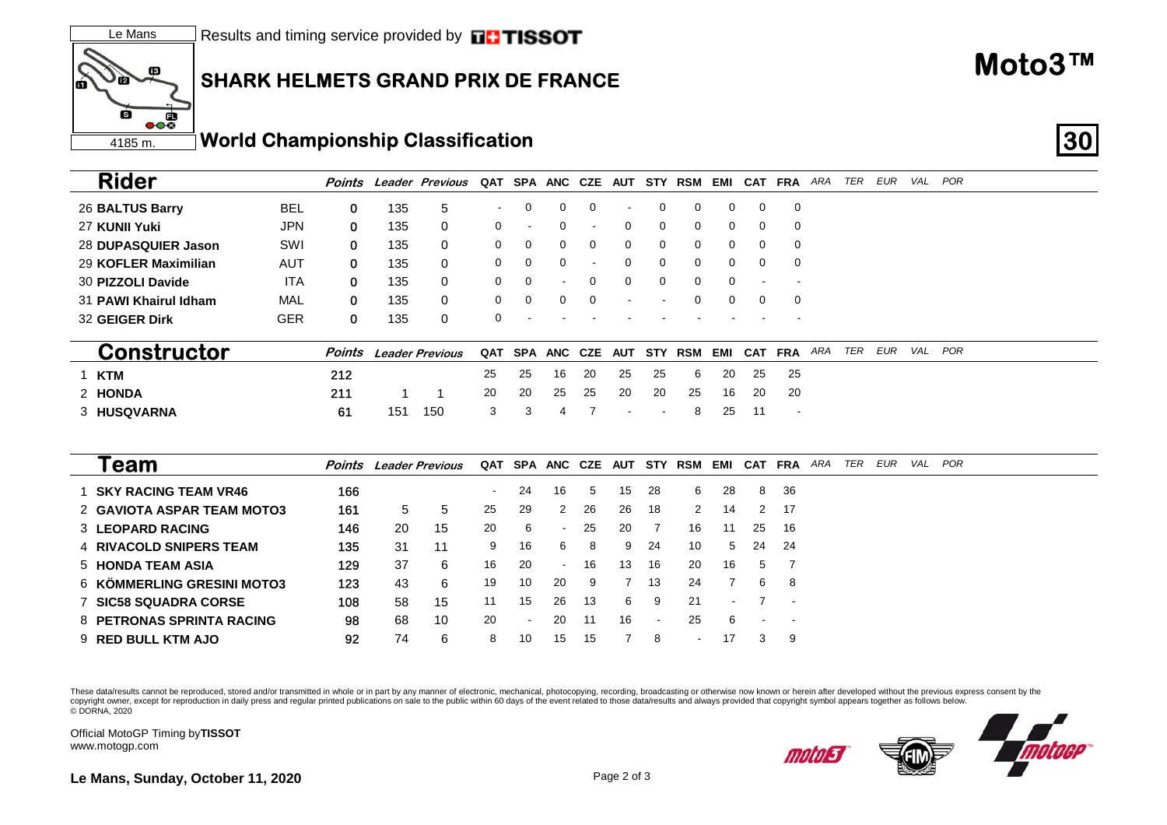## **SHARK HELMETS GRAND PRIX DE FRANCE**

 $\overline{\mathbf{e}}$ **World Championship Classification 30** 4185 m.

|    | <b>Rider</b>                    | Points |     | Leader Previous        |     |                          |                          | QAT SPA ANC CZE | AUT        |    | <b>STY RSM</b> | EMI |          | <b>CAT FRA</b>           | ARA | TER | EUR | VAL POR |
|----|---------------------------------|--------|-----|------------------------|-----|--------------------------|--------------------------|-----------------|------------|----|----------------|-----|----------|--------------------------|-----|-----|-----|---------|
|    | 26 BALTUS Barry<br><b>BEL</b>   | 0      | 135 | 5                      |     | 0                        | $\Omega$                 | $\Omega$        |            |    | 0              | 0   | $\Omega$ | 0                        |     |     |     |         |
|    | <b>JPN</b><br>27 KUNII Yuki     | 0      | 135 | 0                      | 0   | $\overline{\phantom{a}}$ | 0                        |                 | $\Omega$   | 0  | 0              | 0   | 0        | 0                        |     |     |     |         |
|    | SWI<br>28 DUPASQUIER Jason      | 0      | 135 | 0                      | 0   | 0                        | 0                        | 0               | 0          | 0  | 0              | 0   | 0        | 0                        |     |     |     |         |
|    | AUT<br>29 KOFLER Maximilian     | 0      | 135 | 0                      | 0   | 0                        | $\Omega$                 |                 |            | 0  | 0              | 0   | 0        | 0                        |     |     |     |         |
|    | <b>ITA</b><br>30 PIZZOLI Davide | 0      | 135 | 0                      | 0   | 0                        |                          | 0               | 0          | 0  | 0              | 0   |          |                          |     |     |     |         |
|    | MAL<br>31 PAWI Khairul Idham    | 0      | 135 | 0                      | 0   | 0                        | 0                        | 0               |            |    | 0              | 0   | 0        | 0                        |     |     |     |         |
|    | <b>GER</b><br>32 GEIGER Dirk    | 0      | 135 | 0                      | 0   |                          |                          |                 |            |    |                |     |          |                          |     |     |     |         |
|    |                                 |        |     |                        |     |                          |                          |                 |            |    |                |     |          |                          |     |     |     |         |
|    | <b>Constructor</b>              | Points |     | <b>Leader Previous</b> | QAT | SPA ANC CZE              |                          |                 | <b>AUT</b> |    | <b>STY RSM</b> | EMI |          | CAT FRA ARA              |     | TER | EUR | VAL POR |
| -1 | <b>KTM</b>                      | 212    |     |                        | 25  | 25                       | 16                       | 20              | 25         | 25 | 6              | 20  | 25       | 25                       |     |     |     |         |
|    | 2 HONDA                         | 211    |     |                        | 20  | 20                       | 25                       | 25              | 20         | 20 | 25             | 16  | 20       | 20                       |     |     |     |         |
|    | 3 HUSQVARNA                     | 61     | 151 | 150                    | 3   | 3                        | 4                        |                 |            |    | 8              | 25  | 11       | $\overline{\phantom{a}}$ |     |     |     |         |
|    |                                 |        |     |                        |     |                          |                          |                 |            |    |                |     |          |                          |     |     |     |         |
|    |                                 |        |     |                        |     |                          |                          |                 |            |    |                |     |          |                          |     |     |     |         |
|    | Team                            | Points |     | <b>Leader Previous</b> |     | QAT SPA ANC CZE          |                          |                 | <b>AUT</b> |    | <b>STY RSM</b> | EMI |          | CAT FRA                  | ARA | TER | EUR | VAL POR |
|    | <b>SKY RACING TEAM VR46</b>     | 166    |     |                        |     | 24                       | 16                       | 5               | 15         | 28 | 6              | 28  | 8        | 36                       |     |     |     |         |
|    | 2 GAVIOTA ASPAR TEAM MOTO3      | 161    | 5   | 5                      | 25  | 29                       | 2                        | 26              | 26         | 18 | 2              | 14  | 2        | 17                       |     |     |     |         |
|    | <b>3 LEOPARD RACING</b>         | 146    | 20  | 15                     | 20  | 6                        |                          | 25              | 20         | 7  | 16             | 11  | 25       | 16                       |     |     |     |         |
|    | <b>4 RIVACOLD SNIPERS TEAM</b>  | 135    | 31  | 11                     | 9   | 16                       | 6                        | 8               | 9          | 24 | 10             | 5   | 24       | 24                       |     |     |     |         |
|    | 5 HONDA TEAM ASIA               | 129    | 37  | 6                      | 16  | 20                       | $\overline{\phantom{a}}$ | 16              | 13         | 16 | 20             | 16  | 5        | 7                        |     |     |     |         |
|    | 6 KÖMMERLING GRESINI MOTO3      | 123    | 43  | 6                      | 19  | 10                       | 20                       | 9               |            | 13 | 24             |     | 6        | 8                        |     |     |     |         |

These data/results cannot be reproduced, stored and/or transmitted in whole or in part by any manner of electronic, mechanical, photocopying, recording, broadcasting or otherwise now known or herein after developed without copyright owner, except for reproduction in daily press and regular printed publications on sale to the public within 60 days of the event related to those data/results and always provided that copyright symbol appears tog © DORNA, 2020

108 58 15 11 15 26 13 6 9 21 - 7 -

92 74 6 8 10 15 15 7 8 - 17 3 9

98 68 10 20 - 20 11 16 - 25 6 - -

Official MotoGP Timing by **TISSOT**www.motogp.com

7 **SIC58 SQUADRA CORSE**

9 **RED BULL KTM AJO**

**Rider**

**te** 

Ġ

Ó

13

8 **PETRONAS SPRINTA RACING**



motoj 3

**Le Mans, Sunday, October 11, 2020** Page 2 of 3

**Moto3™**